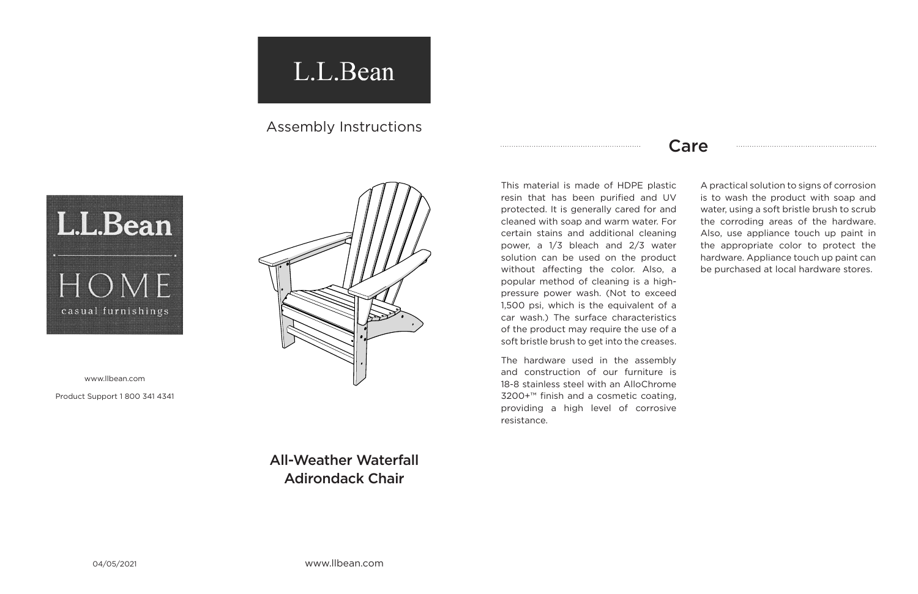04/05/2021 www.llbean.com

## L.L.Bean

## Assembly Instructions



www.llbean.com

Product Support 1 800 341 4341



## Care

All-Weather Waterfall Adirondack Chair

This material is made of HDPE plastic resin that has been purified and UV protected. It is generally cared for and cleaned with soap and warm water. For certain stains and additional cleaning power, a 1/3 bleach and 2/3 water solution can be used on the product without affecting the color. Also, a popular method of cleaning is a highpressure power wash. (Not to exceed 1,500 psi, which is the equivalent of a car wash.) The surface characteristics of the product may require the use of a soft bristle brush to get into the creases.

The hardware used in the assembly and construction of our furniture is 18-8 stainless steel with an AlloChrome 3200+™ finish and a cosmetic coating, providing a high level of corrosive resistance.

A practical solution to signs of corrosion is to wash the product with soap and water, using a soft bristle brush to scrub the corroding areas of the hardware. Also, use appliance touch up paint in the appropriate color to protect the hardware. Appliance touch up paint can be purchased at local hardware stores.